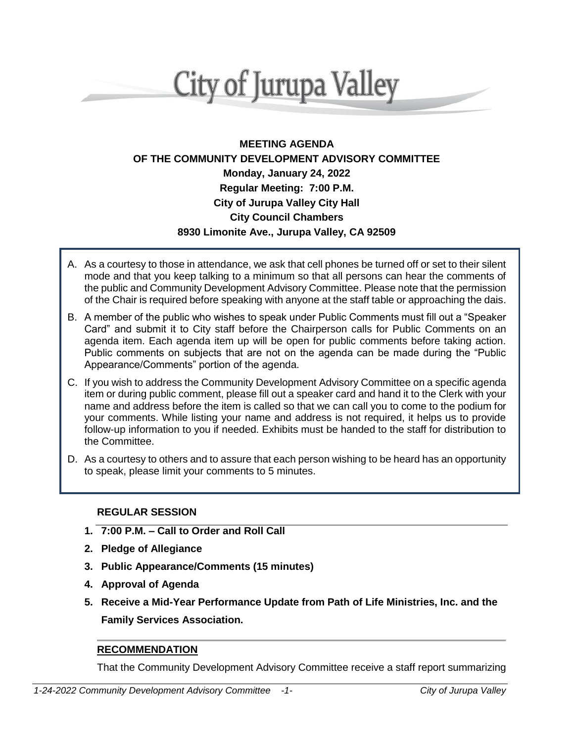# **City of Jurupa Valley**

# **MEETING AGENDA OF THE COMMUNITY DEVELOPMENT ADVISORY COMMITTEE Monday, January 24, 2022 Regular Meeting: 7:00 P.M. City of Jurupa Valley City Hall City Council Chambers 8930 Limonite Ave., Jurupa Valley, CA 92509**

- A. As a courtesy to those in attendance, we ask that cell phones be turned off or set to their silent mode and that you keep talking to a minimum so that all persons can hear the comments of the public and Community Development Advisory Committee. Please note that the permission of the Chair is required before speaking with anyone at the staff table or approaching the dais.
- B. A member of the public who wishes to speak under Public Comments must fill out a "Speaker Card" and submit it to City staff before the Chairperson calls for Public Comments on an agenda item. Each agenda item up will be open for public comments before taking action. Public comments on subjects that are not on the agenda can be made during the "Public Appearance/Comments" portion of the agenda.
- C. If you wish to address the Community Development Advisory Committee on a specific agenda item or during public comment, please fill out a speaker card and hand it to the Clerk with your name and address before the item is called so that we can call you to come to the podium for your comments. While listing your name and address is not required, it helps us to provide follow-up information to you if needed. Exhibits must be handed to the staff for distribution to the Committee.
- D. As a courtesy to others and to assure that each person wishing to be heard has an opportunity to speak, please limit your comments to 5 minutes.

## **REGULAR SESSION**

- **1. 7:00 P.M. – Call to Order and Roll Call**
- **2. Pledge of Allegiance**
- **3. Public Appearance/Comments (15 minutes)**
- **4. Approval of Agenda**
- **5. Receive a Mid-Year Performance Update from Path of Life Ministries, Inc. and the Family Services Association.**

## **RECOMMENDATION**

That the Community Development Advisory Committee receive a staff report summarizing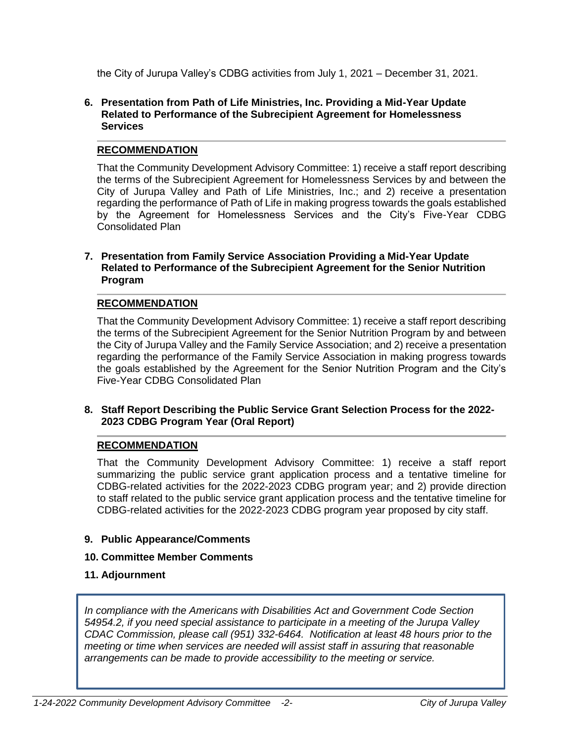the City of Jurupa Valley's CDBG activities from July 1, 2021 – December 31, 2021.

#### **6. Presentation from Path of Life Ministries, Inc. Providing a Mid-Year Update Related to Performance of the Subrecipient Agreement for Homelessness Services**

## **RECOMMENDATION**

That the Community Development Advisory Committee: 1) receive a staff report describing the terms of the Subrecipient Agreement for Homelessness Services by and between the City of Jurupa Valley and Path of Life Ministries, Inc.; and 2) receive a presentation regarding the performance of Path of Life in making progress towards the goals established by the Agreement for Homelessness Services and the City's Five-Year CDBG Consolidated Plan

#### **7. Presentation from Family Service Association Providing a Mid-Year Update Related to Performance of the Subrecipient Agreement for the Senior Nutrition Program**

## **RECOMMENDATION**

That the Community Development Advisory Committee: 1) receive a staff report describing the terms of the Subrecipient Agreement for the Senior Nutrition Program by and between the City of Jurupa Valley and the Family Service Association; and 2) receive a presentation regarding the performance of the Family Service Association in making progress towards the goals established by the Agreement for the Senior Nutrition Program and the City's Five-Year CDBG Consolidated Plan

## **8. Staff Report Describing the Public Service Grant Selection Process for the 2022- 2023 CDBG Program Year (Oral Report)**

## **RECOMMENDATION**

That the Community Development Advisory Committee: 1) receive a staff report summarizing the public service grant application process and a tentative timeline for CDBG-related activities for the 2022-2023 CDBG program year; and 2) provide direction to staff related to the public service grant application process and the tentative timeline for CDBG-related activities for the 2022-2023 CDBG program year proposed by city staff.

## **9. Public Appearance/Comments**

#### **10. Committee Member Comments**

**11. Adjournment**

*In compliance with the Americans with Disabilities Act and Government Code Section 54954.2, if you need special assistance to participate in a meeting of the Jurupa Valley CDAC Commission, please call (951) 332-6464. Notification at least 48 hours prior to the meeting or time when services are needed will assist staff in assuring that reasonable arrangements can be made to provide accessibility to the meeting or service.*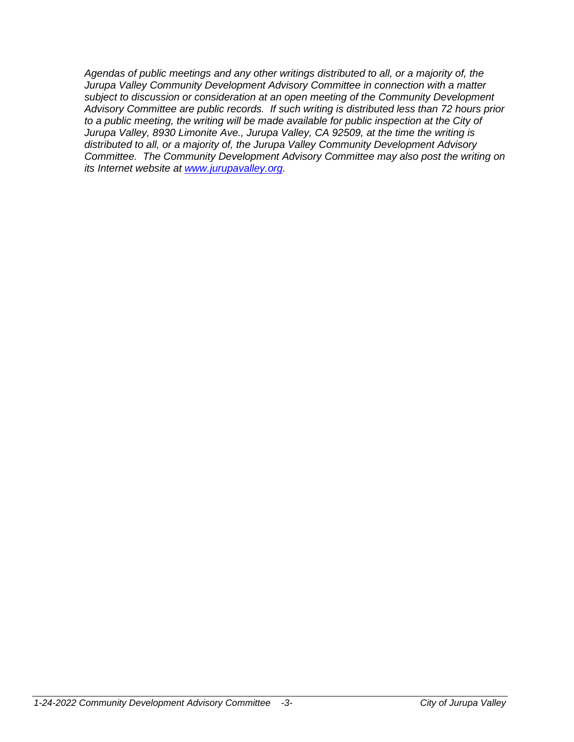*Agendas of public meetings and any other writings distributed to all, or a majority of, the Jurupa Valley Community Development Advisory Committee in connection with a matter subject to discussion or consideration at an open meeting of the Community Development Advisory Committee are public records. If such writing is distributed less than 72 hours prior to a public meeting, the writing will be made available for public inspection at the City of Jurupa Valley, 8930 Limonite Ave., Jurupa Valley, CA 92509, at the time the writing is distributed to all, or a majority of, the Jurupa Valley Community Development Advisory Committee. The Community Development Advisory Committee may also post the writing on its Internet website at [www.jurupavalley.org.](http://www.jurupavalley.org/)*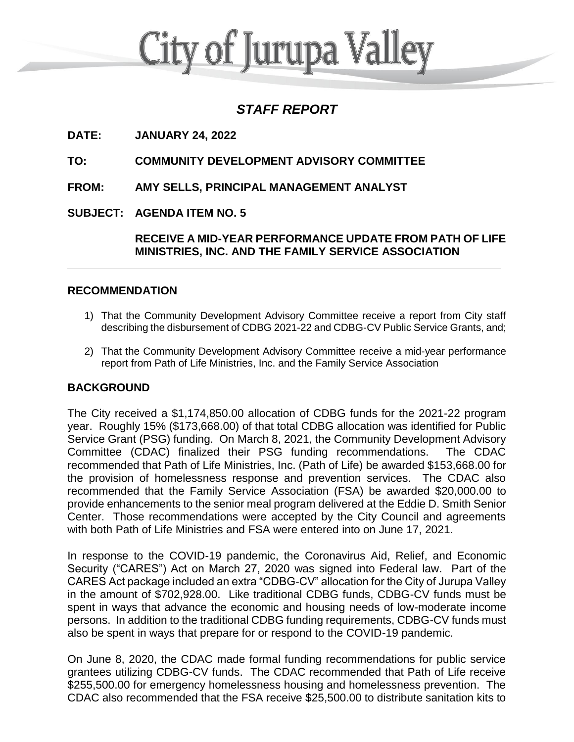# **City of Jurupa Valley**

# *STAFF REPORT*

**DATE: JANUARY 24, 2022**

**TO: COMMUNITY DEVELOPMENT ADVISORY COMMITTEE**

**FROM: AMY SELLS, PRINCIPAL MANAGEMENT ANALYST**

**SUBJECT: AGENDA ITEM NO. 5**

**RECEIVE A MID-YEAR PERFORMANCE UPDATE FROM PATH OF LIFE MINISTRIES, INC. AND THE FAMILY SERVICE ASSOCIATION**

## **RECOMMENDATION**

- 1) That the Community Development Advisory Committee receive a report from City staff describing the disbursement of CDBG 2021-22 and CDBG-CV Public Service Grants, and;
- 2) That the Community Development Advisory Committee receive a mid-year performance report from Path of Life Ministries, Inc. and the Family Service Association

## **BACKGROUND**

The City received a \$1,174,850.00 allocation of CDBG funds for the 2021-22 program year. Roughly 15% (\$173,668.00) of that total CDBG allocation was identified for Public Service Grant (PSG) funding. On March 8, 2021, the Community Development Advisory Committee (CDAC) finalized their PSG funding recommendations. The CDAC recommended that Path of Life Ministries, Inc. (Path of Life) be awarded \$153,668.00 for the provision of homelessness response and prevention services. The CDAC also recommended that the Family Service Association (FSA) be awarded \$20,000.00 to provide enhancements to the senior meal program delivered at the Eddie D. Smith Senior Center. Those recommendations were accepted by the City Council and agreements with both Path of Life Ministries and FSA were entered into on June 17, 2021.

In response to the COVID-19 pandemic, the Coronavirus Aid, Relief, and Economic Security ("CARES") Act on March 27, 2020 was signed into Federal law. Part of the CARES Act package included an extra "CDBG-CV" allocation for the City of Jurupa Valley in the amount of \$702,928.00. Like traditional CDBG funds, CDBG-CV funds must be spent in ways that advance the economic and housing needs of low-moderate income persons. In addition to the traditional CDBG funding requirements, CDBG-CV funds must also be spent in ways that prepare for or respond to the COVID-19 pandemic.

On June 8, 2020, the CDAC made formal funding recommendations for public service grantees utilizing CDBG-CV funds. The CDAC recommended that Path of Life receive \$255,500.00 for emergency homelessness housing and homelessness prevention. The CDAC also recommended that the FSA receive \$25,500.00 to distribute sanitation kits to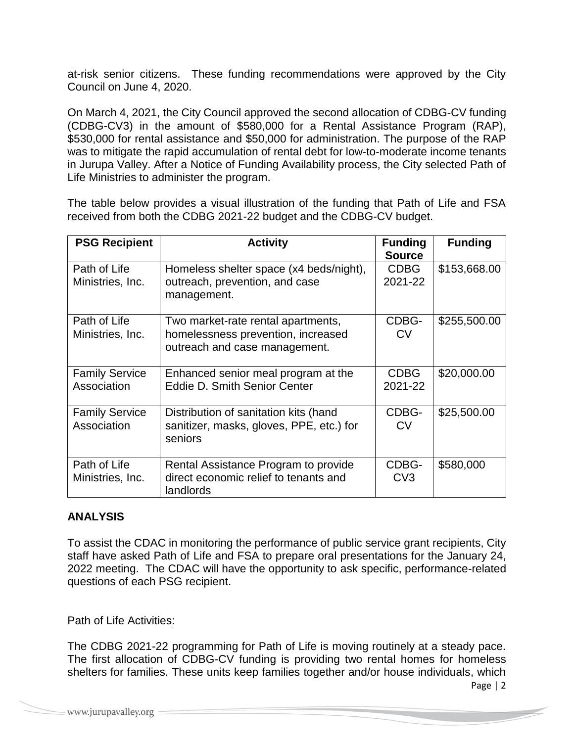at-risk senior citizens. These funding recommendations were approved by the City Council on June 4, 2020.

On March 4, 2021, the City Council approved the second allocation of CDBG-CV funding (CDBG-CV3) in the amount of \$580,000 for a Rental Assistance Program (RAP), \$530,000 for rental assistance and \$50,000 for administration. The purpose of the RAP was to mitigate the rapid accumulation of rental debt for low-to-moderate income tenants in Jurupa Valley. After a Notice of Funding Availability process, the City selected Path of Life Ministries to administer the program.

The table below provides a visual illustration of the funding that Path of Life and FSA received from both the CDBG 2021-22 budget and the CDBG-CV budget.

| <b>PSG Recipient</b>                 | <b>Activity</b>                                                                                           | <b>Funding</b><br><b>Source</b> | <b>Funding</b> |
|--------------------------------------|-----------------------------------------------------------------------------------------------------------|---------------------------------|----------------|
| Path of Life<br>Ministries, Inc.     | Homeless shelter space (x4 beds/night),<br>outreach, prevention, and case<br>management.                  | <b>CDBG</b><br>2021-22          | \$153,668.00   |
| Path of Life<br>Ministries, Inc.     | Two market-rate rental apartments,<br>homelessness prevention, increased<br>outreach and case management. | CDBG-<br><b>CV</b>              | \$255,500.00   |
| <b>Family Service</b><br>Association | Enhanced senior meal program at the<br><b>Eddie D. Smith Senior Center</b>                                | <b>CDBG</b><br>2021-22          | \$20,000.00    |
| <b>Family Service</b><br>Association | Distribution of sanitation kits (hand<br>sanitizer, masks, gloves, PPE, etc.) for<br>seniors              | CDBG-<br>CV                     | \$25,500.00    |
| Path of Life<br>Ministries, Inc.     | Rental Assistance Program to provide<br>direct economic relief to tenants and<br>landlords                | CDBG-<br>CV3                    | \$580,000      |

# **ANALYSIS**

To assist the CDAC in monitoring the performance of public service grant recipients, City staff have asked Path of Life and FSA to prepare oral presentations for the January 24, 2022 meeting. The CDAC will have the opportunity to ask specific, performance-related questions of each PSG recipient.

# Path of Life Activities:

The CDBG 2021-22 programming for Path of Life is moving routinely at a steady pace. The first allocation of CDBG-CV funding is providing two rental homes for homeless shelters for families. These units keep families together and/or house individuals, which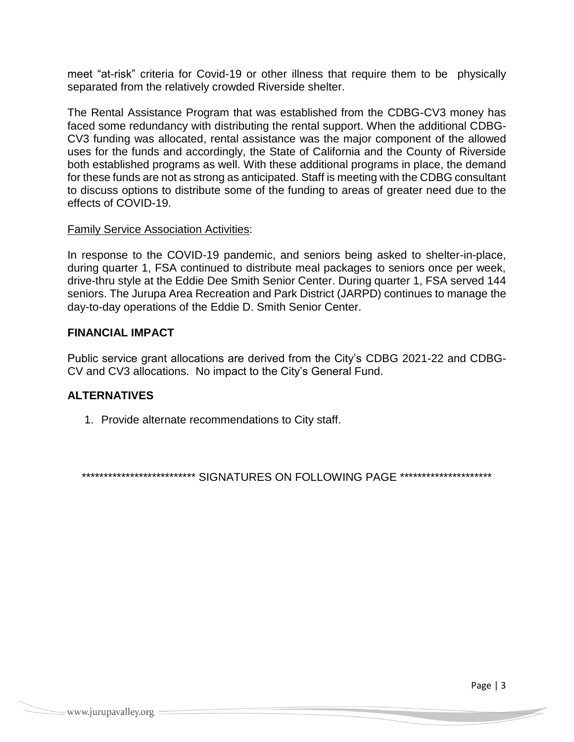meet "at-risk" criteria for Covid-19 or other illness that require them to be physically separated from the relatively crowded Riverside shelter.

The Rental Assistance Program that was established from the CDBG-CV3 money has faced some redundancy with distributing the rental support. When the additional CDBG-CV3 funding was allocated, rental assistance was the major component of the allowed uses for the funds and accordingly, the State of California and the County of Riverside both established programs as well. With these additional programs in place, the demand for these funds are not as strong as anticipated. Staff is meeting with the CDBG consultant to discuss options to distribute some of the funding to areas of greater need due to the effects of COVID-19.

## Family Service Association Activities:

In response to the COVID-19 pandemic, and seniors being asked to shelter-in-place, during quarter 1, FSA continued to distribute meal packages to seniors once per week, drive-thru style at the Eddie Dee Smith Senior Center. During quarter 1, FSA served 144 seniors. The Jurupa Area Recreation and Park District (JARPD) continues to manage the day-to-day operations of the Eddie D. Smith Senior Center.

## **FINANCIAL IMPACT**

Public service grant allocations are derived from the City's CDBG 2021-22 and CDBG-CV and CV3 allocations. No impact to the City's General Fund.

# **ALTERNATIVES**

1. Provide alternate recommendations to City staff.

\*\*\*\*\*\*\*\*\*\*\*\*\*\*\*\*\*\*\*\*\*\*\*\*\*\* SIGNATURES ON FOLLOWING PAGE \*\*\*\*\*\*\*\*\*\*\*\*\*\*\*\*\*\*\*\*\*